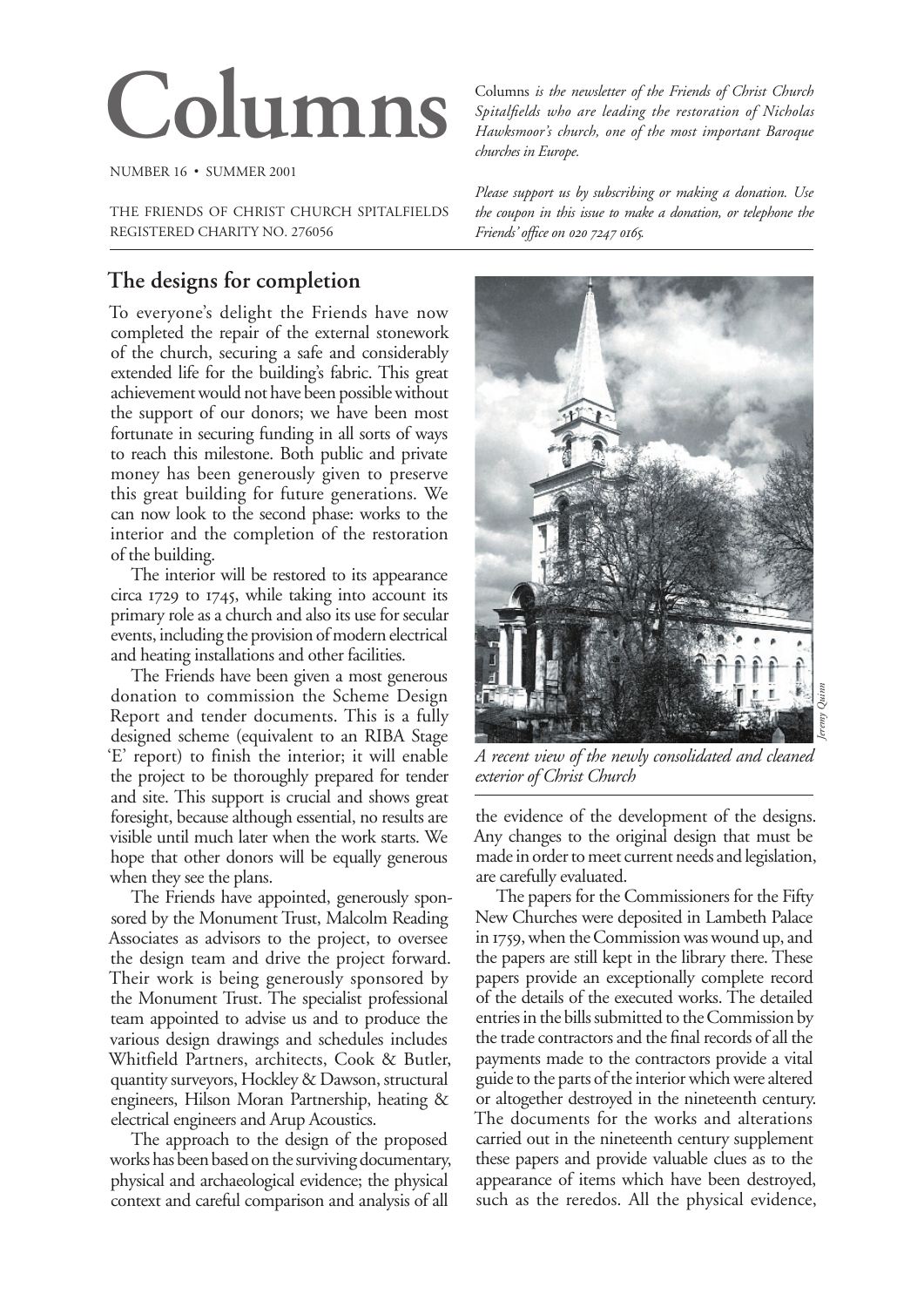# Columns *is the newsletter of the Friends of Christ Church*<br>*Spitalfields who are leading the restoration of Nicholas*<br>*Hawksmoor's church, one of the most important Baroque*

NUMBER 16 • SUMMER 2001

THE FRIENDS OF CHRIST CHURCH SPITALFIELDS REGISTERED CHARITY NO. 276056

# **The designs for completion**

To everyone's delight the Friends have now completed the repair of the external stonework of the church, securing a safe and considerably extended life for the building's fabric. This great achievement would not have been possible without the support of our donors; we have been most fortunate in securing funding in all sorts of ways to reach this milestone. Both public and private money has been generously given to preserve this great building for future generations. We can now look to the second phase: works to the interior and the completion of the restoration of the building.

The interior will be restored to its appearance circa  $1729$  to  $1745$ , while taking into account its primary role as a church and also its use for secular events, including the provision of modern electrical and heating installations and other facilities.

The Friends have been given a most generous donation to commission the Scheme Design Report and tender documents. This is a fully designed scheme (equivalent to an RIBA Stage 'E' report) to finish the interior; it will enable the project to be thoroughly prepared for tender and site. This support is crucial and shows great foresight, because although essential, no results are visible until much later when the work starts. We hope that other donors will be equally generous when they see the plans.

The Friends have appointed, generously sponsored by the Monument Trust, Malcolm Reading Associates as advisors to the project, to oversee the design team and drive the project forward. Their work is being generously sponsored by the Monument Trust. The specialist professional team appointed to advise us and to produce the various design drawings and schedules includes Whitfield Partners, architects, Cook & Butler, quantity surveyors, Hockley & Dawson, structural engineers, Hilson Moran Partnership, heating & electrical engineers and Arup Acoustics.

The approach to the design of the proposed works has been based on the surviving documentary, physical and archaeological evidence; the physical context and careful comparison and analysis of all

*Spitalfields who are leading the restoration of Nicholas Hawksmoor's church, one of the most important Baroque churches in Europe.*

*Please support us by subscribing or making a donation. Use the coupon in this issue to make a donation, or telephone the Friends' office on 020 7247 0165.* 



*A recent view of the newly consolidated and cleaned exterior of Christ Church* 

the evidence of the development of the designs. Any changes to the original design that must be made in order to meet current needs and legislation, are carefully evaluated.

The papers for the Commissioners for the Fifty New Churches were deposited in Lambeth Palace in 1759, when the Commission was wound up, and the papers are still kept in the library there. These papers provide an exceptionally complete record of the details of the executed works. The detailed entries in the bills submitted to the Commission by the trade contractors and the final records of all the payments made to the contractors provide a vital guide to the parts of the interior which were altered or altogether destroyed in the nineteenth century. The documents for the works and alterations carried out in the nineteenth century supplement these papers and provide valuable clues as to the appearance of items which have been destroyed, such as the reredos. All the physical evidence,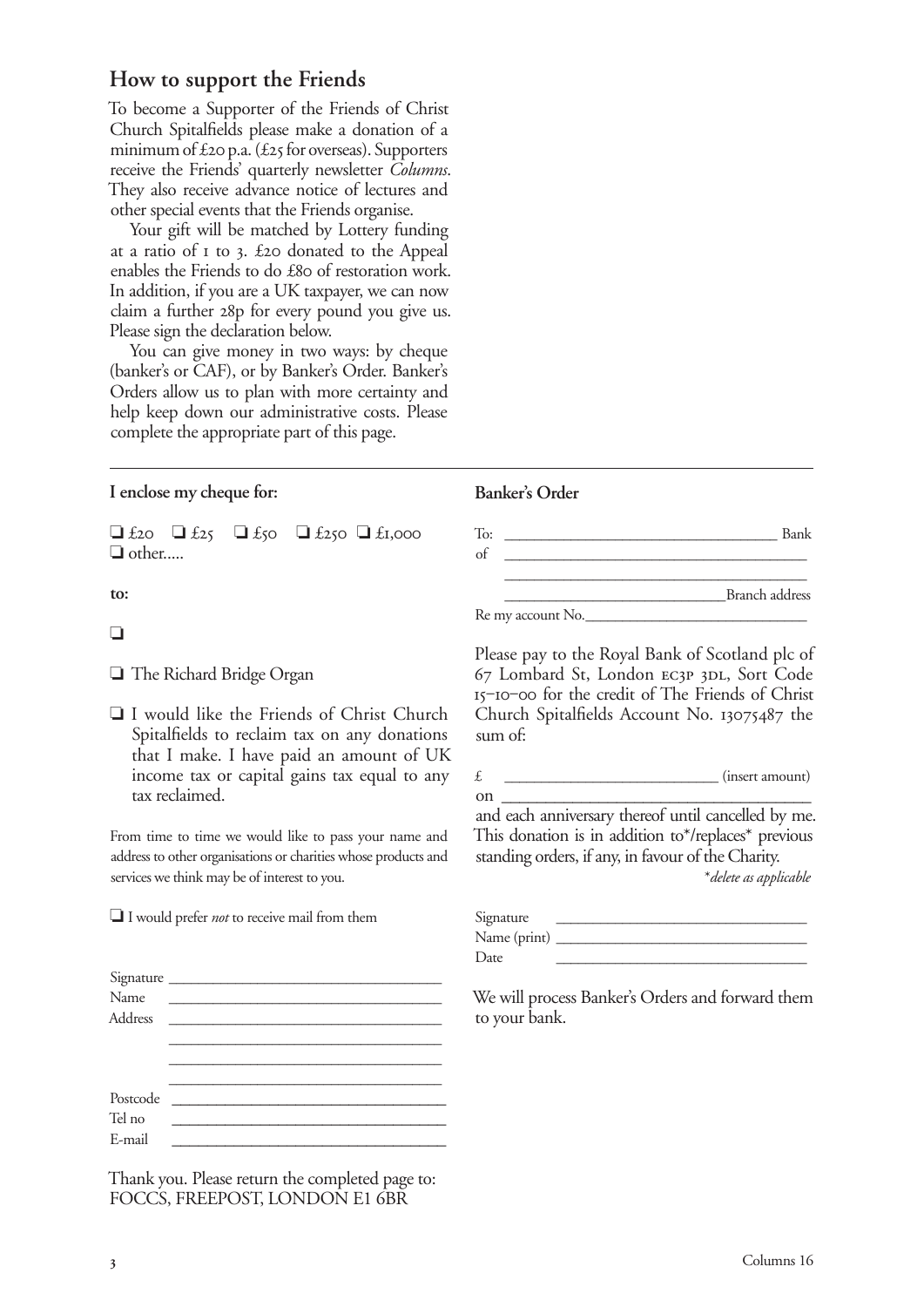## **How to support the Friends**

To become a Supporter of the Friends of Christ Church Spitalfields please make a donation of a minimum of  $\text{\pounds}$ 20 p.a. ( $\text{\pounds}$ 25 for overseas). Supporters receive the Friends' quarterly newsletter *Columns*. They also receive advance notice of lectures and other special events that the Friends organise.

Your gift will be matched by Lottery funding at a ratio of  $I$  to 3. £20 donated to the Appeal enables the Friends to do £80 of restoration work. In addition, if you are a UK taxpayer, we can now claim a further 28p for every pound you give us. Please sign the declaration below.

You can give money in two ways: by cheque (banker's or CAF), or by Banker's Order. Banker's Orders allow us to plan with more certainty and help keep down our administrative costs. Please complete the appropriate part of this page.

## **I enclose my cheque for:**

 $\Box$  £20  $\Box$  £250  $\Box$  £1,000 ❏ other.....

**to:** 

#### ❏ ������ ������ ������������

❏ The Richard Bridge Organ

❏ I would like the Friends of Christ Church Spitalfields to reclaim tax on any donations that I make. I have paid an amount of UK income tax or capital gains tax equal to any tax reclaimed.

From time to time we would like to pass your name and address to other organisations or charities whose products and services we think may be of interest to you.

❏ I would prefer *not* to receive mail from them

| Signature<br>Name |  |  |  |
|-------------------|--|--|--|
|                   |  |  |  |
| Postcode          |  |  |  |
| Tel no            |  |  |  |
| E-mail            |  |  |  |

Thank you. Please return the completed page to: FOCCS, FREEPOST, LONDON E1 6BR

#### **Banker's Order**

To: \_\_\_\_\_\_\_\_\_\_\_\_\_\_\_\_\_\_\_\_\_\_\_\_\_\_\_\_\_\_\_\_\_\_\_\_\_ Bank of \_\_\_\_\_\_\_\_\_\_\_\_\_\_\_\_\_\_\_\_\_\_\_\_\_\_\_\_\_\_\_\_\_\_\_\_\_\_\_\_\_  $\frac{1}{2}$  , and the set of the set of the set of the set of the set of the set of the set of the set of the set of the set of the set of the set of the set of the set of the set of the set of the set of the set of the set \_\_\_\_\_\_\_\_\_\_\_\_\_\_\_\_\_\_\_\_\_\_\_\_\_\_\_\_\_\_Branch address Re my account No.

Please pay to the Royal Bank of Scotland plc of 67 Lombard St, London EC3P 3DL, Sort Code ‒‒ for the credit of The Friends of Christ Church Spitalfields Account No. 13075487 the sum of:

 $\mathbf{E}$   $($  insert amount)

on  $\overline{\phantom{a}}$ and each anniversary thereof until cancelled by me. This donation is in addition to\*/replaces\* previous standing orders, if any, in favour of the Charity.

\**delete as applicable*

| Signature    |  |
|--------------|--|
| Name (print) |  |
| Date         |  |

We will process Banker's Orders and forward them to your bank.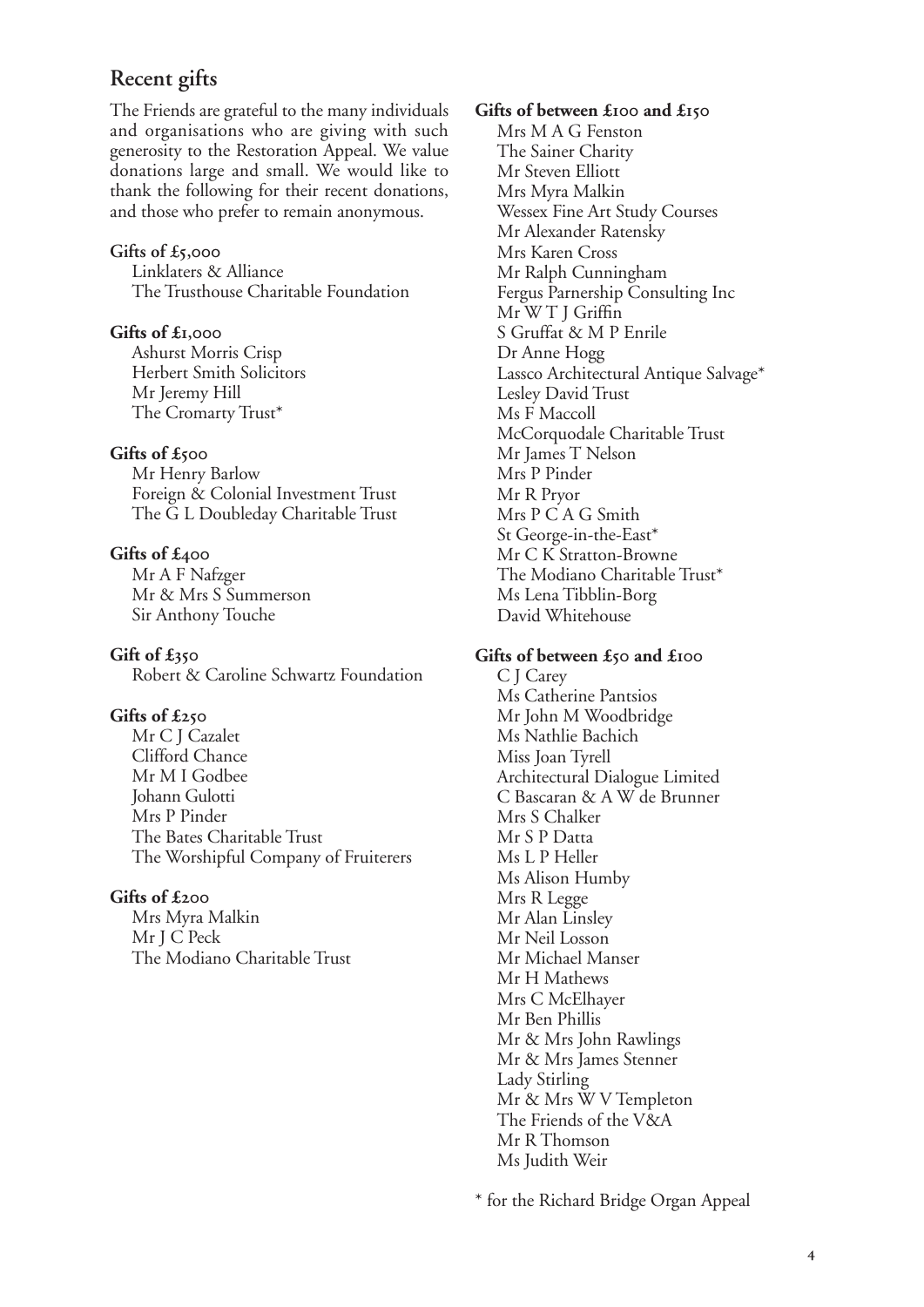## **Recent gifts**

The Friends are grateful to the many individuals and organisations who are giving with such generosity to the Restoration Appeal. We value donations large and small. We would like to thank the following for their recent donations, and those who prefer to remain anonymous.

#### **Gifts of £,**

Linklaters & Alliance The Trusthouse Charitable Foundation

#### **Gifts of £,**

Ashurst Morris Crisp Herbert Smith Solicitors Mr Jeremy Hill The Cromarty Trust\*

#### **Gifts of £**

Mr Henry Barlow Foreign & Colonial Investment Trust The G L Doubleday Charitable Trust

#### **Gifts of £**

Mr A F Nafzger Mr & Mrs S Summerson Sir Anthony Touche

**Gift of £** Robert & Caroline Schwartz Foundation

#### **Gifts of £**

Mr C J Cazalet Clifford Chance Mr M I Godbee Johann Gulotti Mrs P Pinder The Bates Charitable Trust The Worshipful Company of Fruiterers

#### **Gifts of £**

Mrs Myra Malkin Mr J C Peck The Modiano Charitable Trust

#### Gifts of between £<sup>100</sup> and £<sup>150</sup>

Mrs M A G Fenston The Sainer Charity Mr Steven Elliott Mrs Myra Malkin Wessex Fine Art Study Courses Mr Alexander Ratensky Mrs Karen Cross Mr Ralph Cunningham Fergus Parnership Consulting Inc Mr W T J Griffin S Gruffat & M P Enrile Dr Anne Hogg Lassco Architectural Antique Salvage\* Lesley David Trust Ms F Maccoll McCorquodale Charitable Trust Mr James T Nelson Mrs P Pinder Mr R Pryor Mrs P C A G Smith St George-in-the-East\* Mr C K Stratton-Browne The Modiano Charitable Trust\* Ms Lena Tibblin-Borg David Whitehouse

#### Gifts of between £50 and £100

C J Carey Ms Catherine Pantsios Mr John M Woodbridge Ms Nathlie Bachich Miss Joan Tyrell Architectural Dialogue Limited C Bascaran & A W de Brunner Mrs S Chalker Mr S P Datta Ms L P Heller Ms Alison Humby Mrs R Legge Mr Alan Linsley Mr Neil Losson Mr Michael Manser Mr H Mathews Mrs C McElhayer Mr Ben Phillis Mr & Mrs John Rawlings Mr & Mrs James Stenner Lady Stirling Mr & Mrs W V Templeton The Friends of the V&A Mr R Thomson Ms Judith Weir

\* for the Richard Bridge Organ Appeal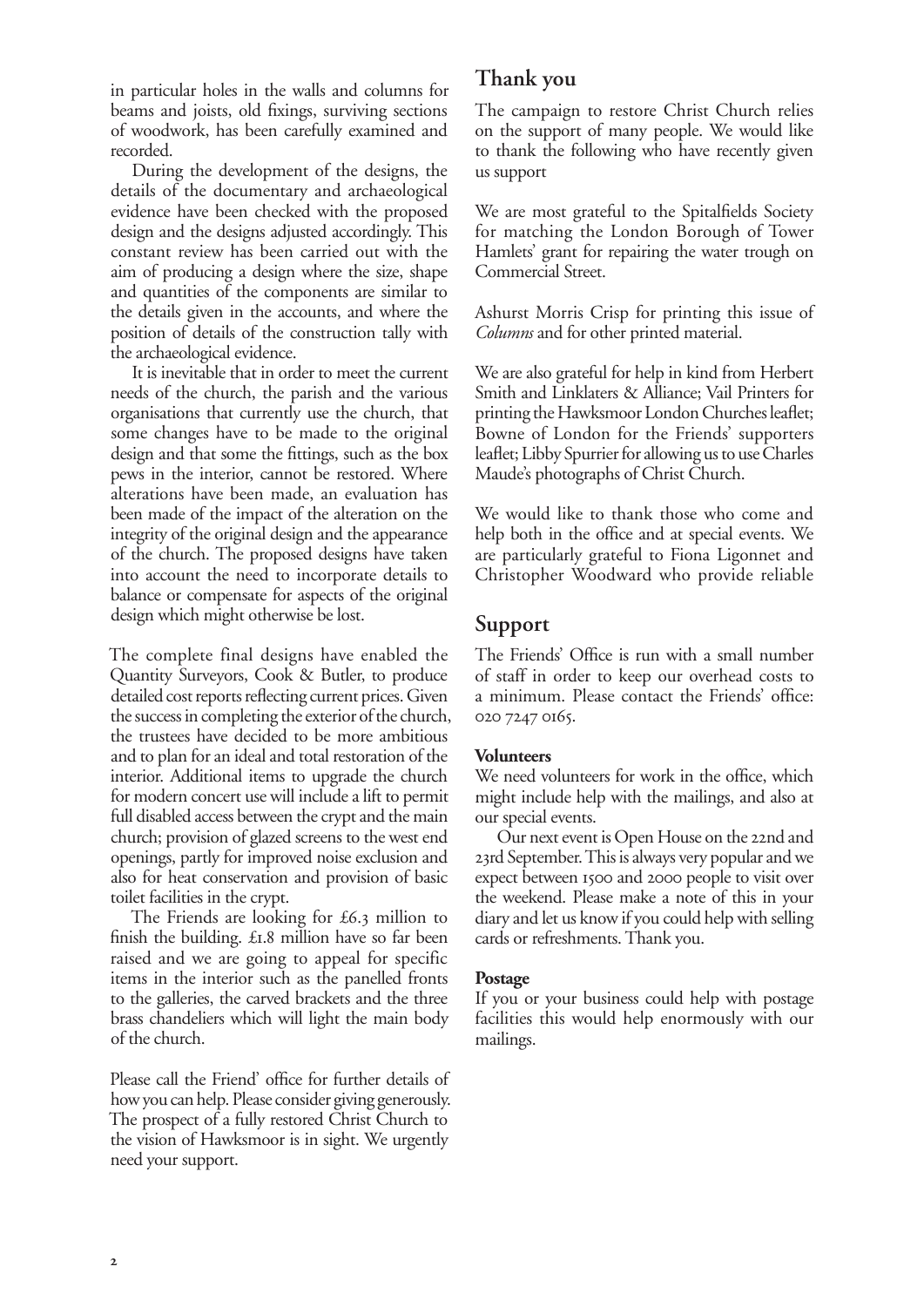in particular holes in the walls and columns for beams and joists, old fixings, surviving sections of woodwork, has been carefully examined and recorded.

During the development of the designs, the details of the documentary and archaeological evidence have been checked with the proposed design and the designs adjusted accordingly. This constant review has been carried out with the aim of producing a design where the size, shape and quantities of the components are similar to the details given in the accounts, and where the position of details of the construction tally with the archaeological evidence.

It is inevitable that in order to meet the current needs of the church, the parish and the various organisations that currently use the church, that some changes have to be made to the original design and that some the fittings, such as the box pews in the interior, cannot be restored. Where alterations have been made, an evaluation has been made of the impact of the alteration on the integrity of the original design and the appearance of the church. The proposed designs have taken into account the need to incorporate details to balance or compensate for aspects of the original design which might otherwise be lost.

The complete final designs have enabled the Quantity Surveyors, Cook & Butler, to produce detailed cost reports reflecting current prices. Given the success in completing the exterior of the church, the trustees have decided to be more ambitious and to plan for an ideal and total restoration of the interior. Additional items to upgrade the church for modern concert use will include a lift to permit full disabled access between the crypt and the main church; provision of glazed screens to the west end openings, partly for improved noise exclusion and also for heat conservation and provision of basic toilet facilities in the crypt.

The Friends are looking for  $£6.3$  million to finish the building.  $£I.8$  million have so far been raised and we are going to appeal for specific items in the interior such as the panelled fronts to the galleries, the carved brackets and the three brass chandeliers which will light the main body of the church.

Please call the Friend' office for further details of how you can help. Please consider giving generously. The prospect of a fully restored Christ Church to the vision of Hawksmoor is in sight. We urgently need your support.

## **Thank you**

The campaign to restore Christ Church relies on the support of many people. We would like to thank the following who have recently given us support

We are most grateful to the Spitalfields Society for matching the London Borough of Tower Hamlets' grant for repairing the water trough on Commercial Street.

Ashurst Morris Crisp for printing this issue of *Columns* and for other printed material.

We are also grateful for help in kind from Herbert Smith and Linklaters & Alliance; Vail Printers for printing the Hawksmoor London Churches leaflet; Bowne of London for the Friends' supporters leaflet; Libby Spurrier for allowing us to use Charles Maude's photographs of Christ Church.

We would like to thank those who come and help both in the office and at special events. We are particularly grateful to Fiona Ligonnet and Christopher Woodward who provide reliable

## **Support**

The Friends' Office is run with a small number of staff in order to keep our overhead costs to a minimum. Please contact the Friends' office: 020 7247 0165.

#### **Volunteers**

We need volunteers for work in the office, which might include help with the mailings, and also at our special events.

Our next event is Open House on the 22nd and 23rd September. This is always very popular and we expect between 1500 and 2000 people to visit over the weekend. Please make a note of this in your diary and let us know if you could help with selling cards or refreshments. Thank you.

#### **Postage**

If you or your business could help with postage facilities this would help enormously with our mailings.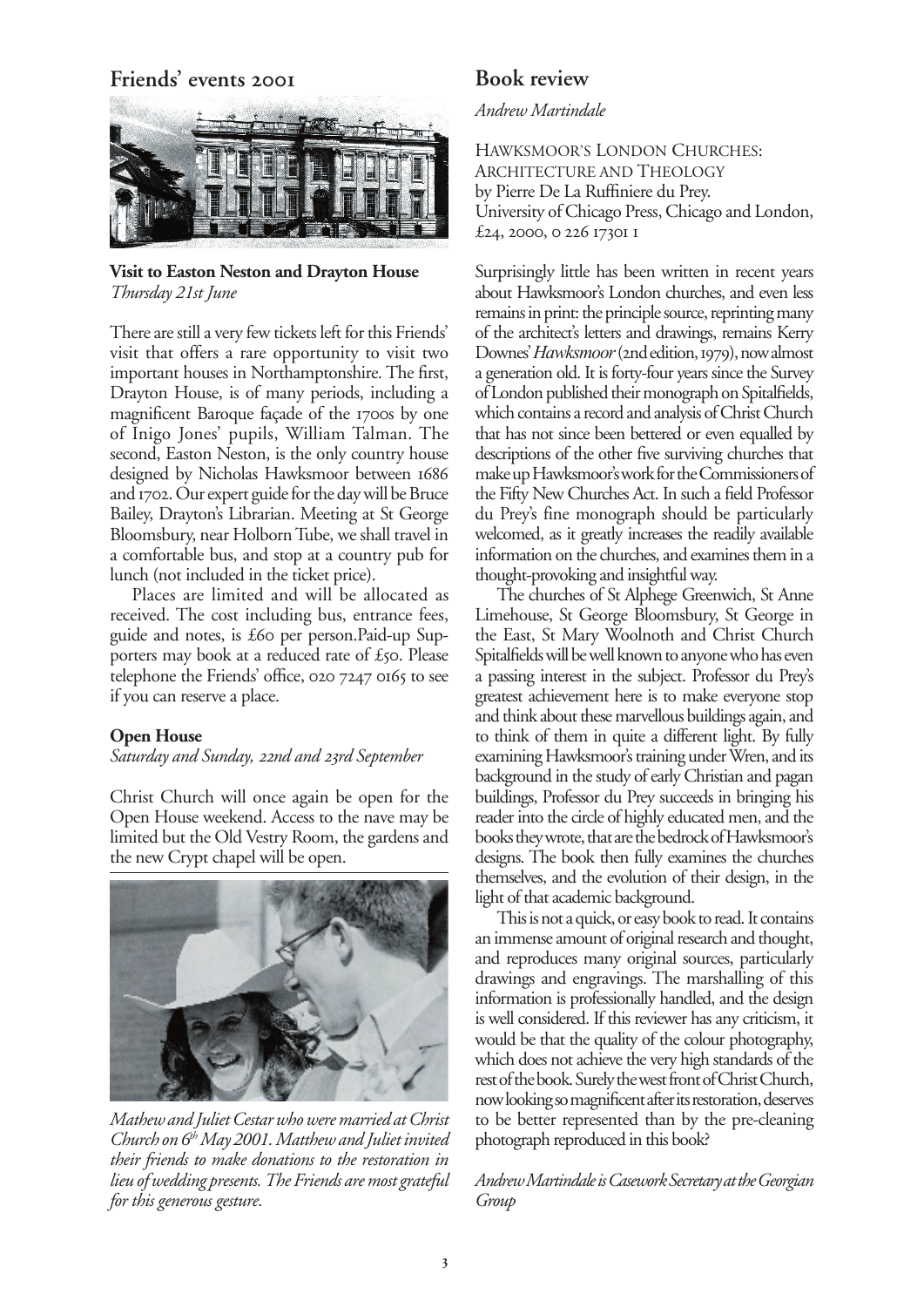## **Friends' events**



**Visit to Easton Neston and Drayton House** *Thursday 21st June*

There are still a very few tickets left for this Friends' visit that offers a rare opportunity to visit two important houses in Northamptonshire. The first, Drayton House, is of many periods, including a magnificent Baroque façade of the 1700s by one of Inigo Jones' pupils, William Talman. The second, Easton Neston, is the only country house designed by Nicholas Hawksmoor between 1686 and 1702. Our expert guide for the day will be Bruce Bailey, Drayton's Librarian. Meeting at St George Bloomsbury, near Holborn Tube, we shall travel in a comfortable bus, and stop at a country pub for lunch (not included in the ticket price).

Places are limited and will be allocated as received. The cost including bus, entrance fees, guide and notes, is £60 per person.Paid-up Supporters may book at a reduced rate of  $\pounds$ 50. Please telephone the Friends' office,  $02072470165$  to see if you can reserve a place.

#### **Open House**

#### *Saturday and Sunday, 22nd and 23rd September*

Christ Church will once again be open for the Open House weekend. Access to the nave may be limited but the Old Vestry Room, the gardens and the new Crypt chapel will be open.



*Mathew and Juliet Cestar who were married at Christ Church on 6th May 2001. Matthew and Juliet invited their friends to make donations to the restoration in lieu of wedding presents. The Friends are most grateful for this generous gesture.*

### **Book review**

#### *Andrew Martindale*

HAWKSMOOR'S LONDON CHURCHES: ARCHITECTURE AND THEOLOGY by Pierre De La Ruffiniere du Prey. University of Chicago Press, Chicago and London, £24, 2000, 0 226 1730I I

Surprisingly little has been written in recent years about Hawksmoor's London churches, and even less remains in print: the principle source, reprinting many of the architect's letters and drawings, remains Kerry Downes' *Hawksmoor* (2nd edition, 1979), now almost a generation old. It is forty-four years since the Survey of London published their monograph on Spitalfields, which contains a record and analysis of Christ Church that has not since been bettered or even equalled by descriptions of the other five surviving churches that make up Hawksmoor's work for the Commissioners of the Fifty New Churches Act. In such a field Professor du Prey's fine monograph should be particularly welcomed, as it greatly increases the readily available information on the churches, and examines them in a thought-provoking and insightful way.

The churches of St Alphege Greenwich, St Anne Limehouse, St George Bloomsbury, St George in the East, St Mary Woolnoth and Christ Church Spitalfields will be well known to anyone who has even a passing interest in the subject. Professor du Prey's greatest achievement here is to make everyone stop and think about these marvellous buildings again, and to think of them in quite a different light. By fully examining Hawksmoor's training under Wren, and its background in the study of early Christian and pagan buildings, Professor du Prey succeeds in bringing his reader into the circle of highly educated men, and the books they wrote, that are the bedrock of Hawksmoor's designs. The book then fully examines the churches themselves, and the evolution of their design, in the light of that academic background.

This is not a quick, or easy book to read. It contains an immense amount of original research and thought, and reproduces many original sources, particularly drawings and engravings. The marshalling of this information is professionally handled, and the design is well considered. If this reviewer has any criticism, it would be that the quality of the colour photography, which does not achieve the very high standards of the rest of the book. Surely the west front of Christ Church, now looking so magnificent after its restoration, deserves to be better represented than by the pre-cleaning photograph reproduced in this book?

*Andrew Martindale is Casework Secretary at the Georgian Group*